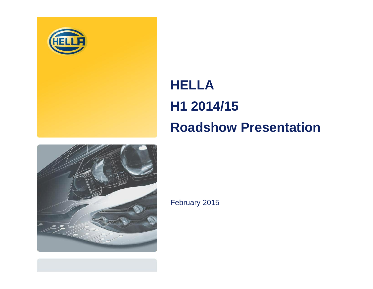

# **HELLA H1 2014/15 Roadshow Presentation**



February 2015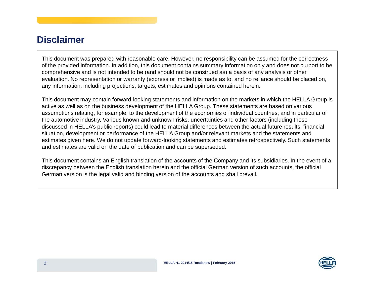### **Disclaimer**

This document was prepared with reasonable care. However, no responsibility can be assumed for the correctness of the provided information. In addition, this document contains summary information only and does not purport to be comprehensive and is not intended to be (and should not be construed as) <sup>a</sup> basis of any analysis or other evaluation. No representation or warranty (express or implied) is made as to, and no reliance should be placed on, any information, including projections, targets, estimates and opinions contained herein.

This document may contain forward-looking statements and information on the markets in which the HELLA Group is active as well as on the business development of the HELLA Group. These statements are based on various assumptions relating, for example, to the development of the economies of individual countries, and in particular of the automotive industry. Various known and unknown risks, uncertainties and other factors (including those discussed in HELLA's public reports) could lead to material differences between the actual future results, financial situation, development or performance of the HELLA Group and/or relevant markets and the statements and estimates given here. We do not update forward-looking statements and estimates retrospectively. Such statements and estimates are valid on the date of publication and can be superseded.

This document contains an English translation of the accounts of the Company and its subsidiaries. In the event of <sup>a</sup> discrepancy between the English translation herein and the official German version of such accounts, the official German version is the legal valid and binding version of the accounts and shall prevail.

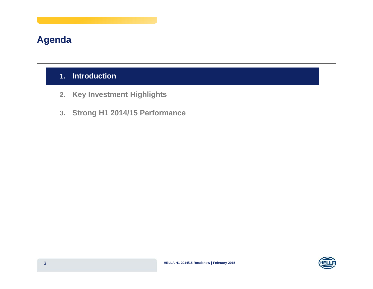### **Agenda**

### **1. Introduction**

- **2. Key Investment Highlights**
- **3. Strong H1 2014/15 Performance**

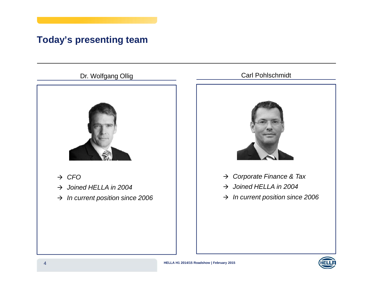## **Today's presenting team**

### Dr. Wolfgang Ollig



- $\rightarrow$  CFO
- $\rightarrow$  Joined HELLA in 2004
- $\rightarrow$  In current position since 2006

### Carl Pohlschmidt



- $\rightarrow$  Joined HELLA in 2004
- $\rightarrow$  In current position since 2006

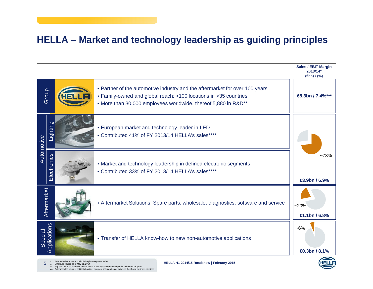### **HELLA – Market and technology leadership as guiding principles**

|                         |             |                                                                                                 |                                                                                                                                                                                                                   | <b>Sales / EBIT Margin</b><br>2013/14*<br>$(\oplus n) / (\%)$ |  |  |  |  |
|-------------------------|-------------|-------------------------------------------------------------------------------------------------|-------------------------------------------------------------------------------------------------------------------------------------------------------------------------------------------------------------------|---------------------------------------------------------------|--|--|--|--|
|                         | Group       |                                                                                                 | • Partner of the automotive industry and the aftermarket for over 100 years<br>• Family-owned and global reach: >100 locations in >35 countries<br>• More than 30,000 employees worldwide, thereof 5,880 in R&D** | $$.3bn/7.4\%$ ***                                             |  |  |  |  |
| Automotive              | Lighting    |                                                                                                 | • European market and technology leader in LED<br>• Contributed 41% of FY 2013/14 HELLA's sales****                                                                                                               |                                                               |  |  |  |  |
|                         | Electronics |                                                                                                 | • Market and technology leadership in defined electronic segments<br>• Contributed 33% of FY 2013/14 HELLA's sales****                                                                                            |                                                               |  |  |  |  |
|                         | Aftermarket |                                                                                                 | • Aftermarket Solutions: Spare parts, wholesale, diagnostics, software and service                                                                                                                                | $-20%$<br>€1.1bn / 6.8%                                       |  |  |  |  |
| Applications<br>Special |             |                                                                                                 | • Transfer of HELLA know-how to new non-automotive applications                                                                                                                                                   | $-6%$<br><b>€0.3bn / 8.1%</b>                                 |  |  |  |  |
|                         |             | External sales volume, not including inter-segment sales<br>Employee figures as of May 31, 2014 | HELLA H1 2014/15 Roadshow   February 2015<br>Adiusted for one-off-effects related to the voluntary severance and partial retirement                                                                               |                                                               |  |  |  |  |

\*\*\* Adjusted for one-off-effects related to the voluntary severance and partial retirement program<br>\*\*\*\* External sales volume, not including inter-segment sales and sales between the shown business divisions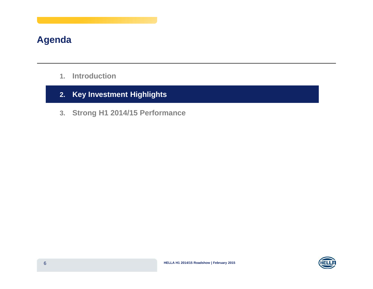### **Agenda**

- **1.Introduction**
- **2. Key Investment Highlights**
- **3. Strong H1 2014/15 Performance**

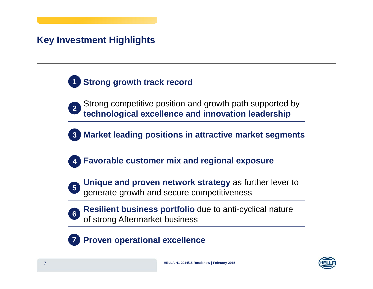## **Key Investment Highlights**



- **2** Strong competitive position and growth path supported by **technological excellence and innovation leadership**
- **3Market leading positions in attractive market segments**
- **4Favorable customer mix and regional exposure**



**Unique and proven network strategy** as further lever to generate growth and secure competitiveness **<sup>5</sup>**



**Resilient business portfolio** due to anti-cyclical nature of strong Aftermarket business **<sup>6</sup>**

#### **7Proven operational excellence**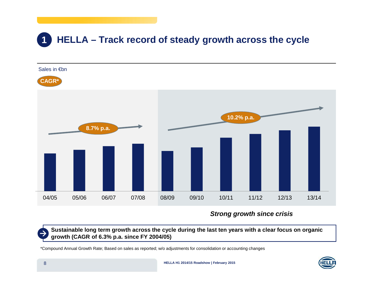#### **1HELLA – Track record of steady growth across the cycle**



**Strong growth since crisis**

Sustainable long term growth across the cycle during the last ten years with a clear focus on organic **growth (CAGR of 6.3% p.a. since FY 2004/05)**

\*Compound Annual Growth Rate; Based on sales as reported; w/o adjustments for consolidation or accounting changes

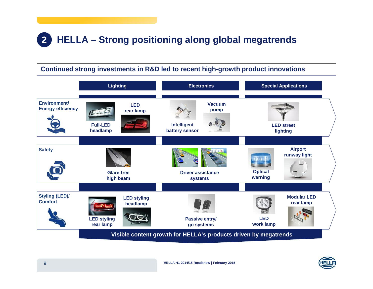#### **2HELLA – Strong positioning along global megatrends**

### **Continued strong investments in R&D led to recent high-growth product innovations**



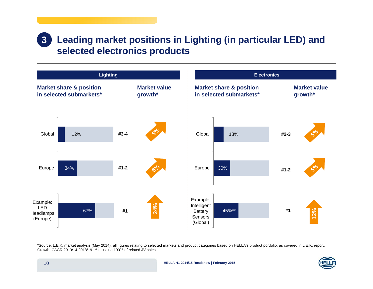### **Leading market positions in Lighting (in particular LED) and selected electronics products 3**



\*Source: L.E.K. market analysis (May 2014); all figures relating to selected markets and product categories based on HELLA's product portfolio, as covered in L.E.K. report; Growth: CAGR 2013/14-2018/19 \*\*Including 100% of related JV sales

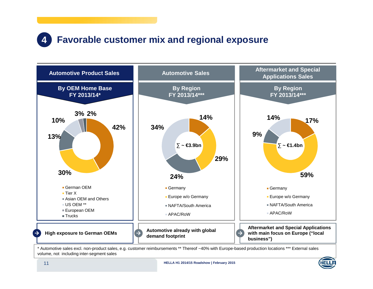#### **4Favorable customer mix and regional exposure**



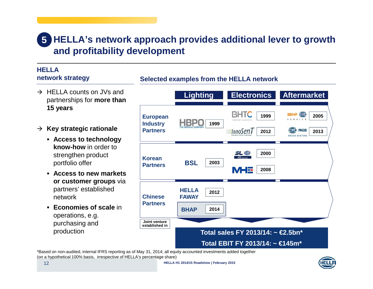# **HELLA's network approach provides additional lever to growth 5 and profitability development**

**Selected examples from the HELLA network**

#### **HELLAnetwork strategy**

- $\rightarrow$  HELLA counts on JVs and partnerships for **more than 15 years**
- **Key strategic rationale**
	- **Access to technology know-how** in order to strengthen product portfolio offer
	- **Access to new markets or customer groups** via partners' established network
	- **Economies of scale** in operations, e.g. purchasing and production



\*Based on non-audited, internal IFRS reporting as of May 31, 2014; all equity accounted investments added together (on <sup>a</sup> hypothetical 100% basis, irrespective of HELLA's percentage share)

**HELLA H1 2014/15 Roadshow | February 2015**

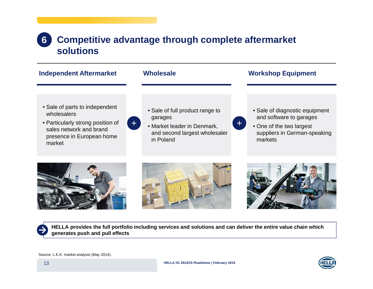#### **Competitive advantage through complete aftermarket solutions 6**

| <b>Independent Aftermarket</b>                                                                                                                       | <b>Wholesale</b>                                                                                                                              | <b>Workshop Equipment</b>                                                                                                               |
|------------------------------------------------------------------------------------------------------------------------------------------------------|-----------------------------------------------------------------------------------------------------------------------------------------------|-----------------------------------------------------------------------------------------------------------------------------------------|
| • Sale of parts to independent<br>wholesalers<br>• Particularly strong position of<br>sales network and brand<br>presence in European home<br>market | • Sale of full product range to<br>garages<br>$\left  + \right $<br>• Market leader in Denmark,<br>and second largest wholesaler<br>in Poland | • Sale of diagnostic equipment<br>and software to garages<br>$+$<br>• One of the two largest<br>suppliers in German-speaking<br>markets |
|                                                                                                                                                      |                                                                                                                                               | n<br>$\mathcal{D}$                                                                                                                      |







HELLA provides the full portfolio including services and solutions and can deliver the entire value chain which<br>apparates nuch and pull effects **generates push and pull effects**

Source: L.E.K. market analysis (May 2014).

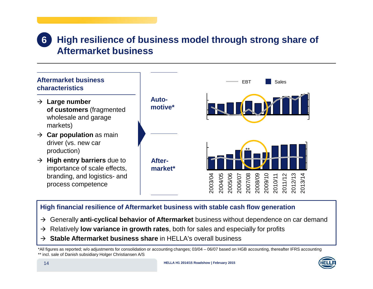#### **High resilience of business model through strong share of Aftermarket business6**



### **High financial resilience of Aftermarket business with stable cash flow generation**

- Generally **anti-cyclical behavior of Aftermarket** business without dependence on car demand
- Relatively **low variance in growth rates**, both for sales and especially for profits
- **Stable Aftermarket business share** in HELLA's overall business

\*All figures as reported; w/o adjustments for consolidation or accounting changes; 03/04 – 06/07 based on HGB accounting, thereafter IFRS accounting \*\* incl. sale of Danish subsidiary Holger Christiansen A/S

![](_page_13_Picture_8.jpeg)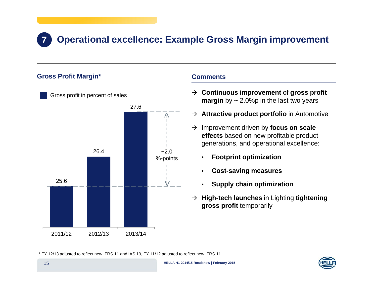# **Operational excellence: Example Gross Margin improvement**

#### **Gross Profit Margin\***

**7**

![](_page_14_Figure_2.jpeg)

#### **Comments**

- **Continuous improvement** of **gross profit margin** by ~ 2.0%p in the last two years
- **Attractive product portfolio** in Automotive
- → Improvement driven by **focus on scale effects** based on new profitable product generations, and operational excellence:
	- •**Footprint optimization**
	- •**Cost-saving measures**
	- •**Supply chain optimization**
- **High-tech launches** in Lighting **tightening gross profit** temporarily

\* FY 12/13 adjusted to reflect new IFRS 11 and IAS 19, FY 11/12 adjusted to reflect new IFRS 11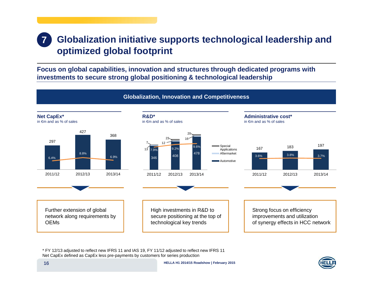### **7 Globalization initiative supports technological leadership and optimized global footprint**

**Focus on global capabilities, innovation and structures through dedicated programs with investments to secure strong global positioning & technological leadership**

![](_page_15_Figure_2.jpeg)

\* FY 12/13 adjusted to reflect new IFRS 11 and IAS 19, FY 11/12 adjusted to reflect new IFRS 11 Net CapEx defined as CapEx less pre-payments by customers for series production

![](_page_15_Picture_4.jpeg)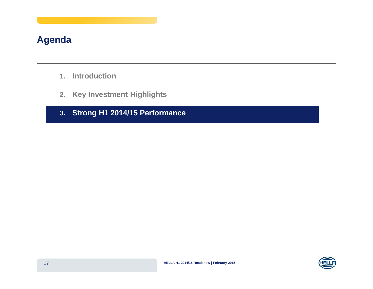### **Agenda**

- **1. Introduction**
- **2. Key Investment Highlights**
- **3. Strong H1 2014/15 Performance**

![](_page_16_Picture_4.jpeg)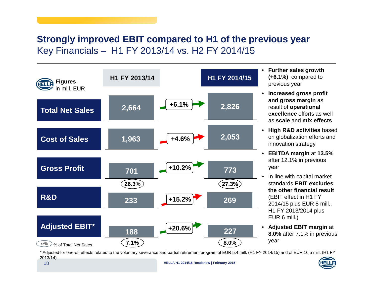### **Strongly improved EBIT compared to H1 of the previous year** Key Financials – H1 FY 2013/14 vs. H2 FY 2014/15

![](_page_17_Figure_1.jpeg)

 **Further sales growth (+6.1%)** compared to previous year

•

- • **Increased gross profit and gross margin** as result of **operational excellence** efforts as well as **scale** and **mix effects**
- **High R&D activities** based on globalization efforts and innovation strategy
- **EBITDA margin** at **13.5%** after 12.1% in previous year
- • $\bullet$  In line with capital market standards **EBIT excludes the other financial result** (EBIT effect in H1 FY 2014/15 plus EUR 8 mill., H1 FY 2013/2014 plus EUR 6 mill.)
- $\bullet$  **Adjusted EBIT margin** at **8.0%** after 7.1% in previous year

\* Adjusted for one-off effects related to the voluntary severance and partial retirement program of EUR 5.4 mill. (H1 FY 2014/15) and of EUR 16.5 mill. (H1 FY 2013/14)

![](_page_17_Picture_9.jpeg)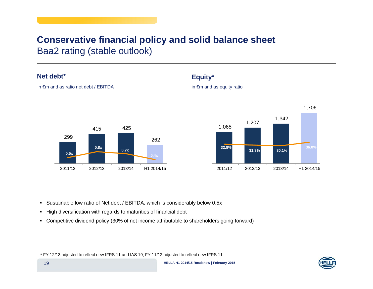### **Conservative financial policy and solid balance sheet** Baa2 rating (stable outlook)

#### **Net debt\***

![](_page_18_Figure_2.jpeg)

### **Equity\***

in €m and as ratio net debt / EBITDA in ∈m and as equity ratio

![](_page_18_Figure_5.jpeg)

- Sustainable low ratio of Net debt / EBITDA, which is considerably below 0.5x
- High diversification with regards to maturities of financial debt
- Competitive dividend policy (30% of net income attributable to shareholders going forward)

\* FY 12/13 adjusted to reflect new IFRS 11 and IAS 19, FY 11/12 adjusted to reflect new IFRS 11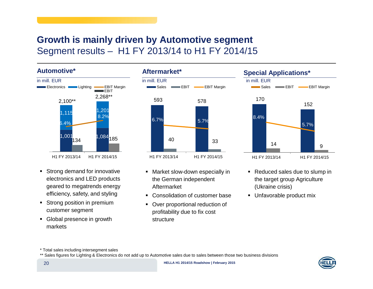### **Growth is mainly driven by Automotive segment** Segment results – H1 FY 2013/14 to H1 FY 2014/15

**Automotive\***

![](_page_19_Figure_2.jpeg)

- **Strong demand for innovative** electronics and LED products geared to megatrends energy efficiency, safety, and styling
- **-** Strong position in premium customer segment
- Global presence in growth markets

![](_page_19_Figure_6.jpeg)

- Market slow-down especially in the German independent Aftermarket
- Consolidation of customer base
- **Over proportional reduction of** profitability due to fix cost structure

![](_page_19_Figure_10.jpeg)

- Reduced sales due to slump in the target group Agriculture (Ukraine crisis)
- Unfavorable product mix

\* Total sales including intersegment sales

\*\* Sales figures for Lighting & Electronics do not add up to Automotive sales due to sales between those two business divisions

![](_page_19_Picture_15.jpeg)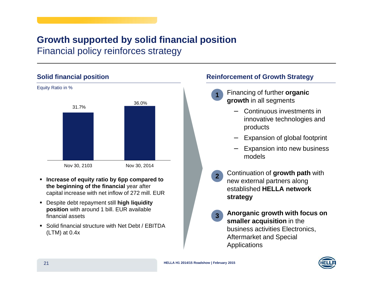# **Growth supported by solid financial position**

Financial policy reinforces strategy

### **Solid financial position**

![](_page_20_Figure_3.jpeg)

- **Increase of equity ratio by 6pp compared to the beginning of the financial** year after capital increase with net inflow of 272 mill. EUR
- Despite debt repayment still **high liquidity position** with around 1 bill. EUR available financial assets
- Solid financial structure with Net Debt / EBITDA (LTM) at 0.4x

### **Reinforcement of Growth Strategy**

- •**1**
	- Financing of further **organic growth** in all segments
		- − Continuous investments ininnovative technologies and products
		- −Expansion of global footprint
		- − Expansion into new business models
- •**2** Continuation of **growth path** with new external partners along established **HELLA network strategy**
- • **Anorganic growth with focus on smaller acquisition** in the business activities Electronics, Aftermarket and Special Applications **3**

![](_page_20_Picture_16.jpeg)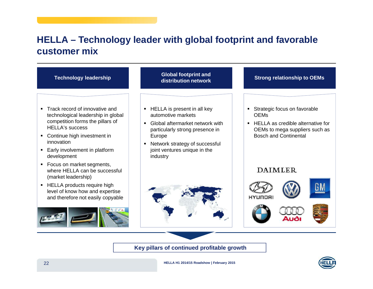### **HELLA – Technology leader with global footprint and favorable customer mix**

![](_page_21_Figure_1.jpeg)

![](_page_21_Picture_3.jpeg)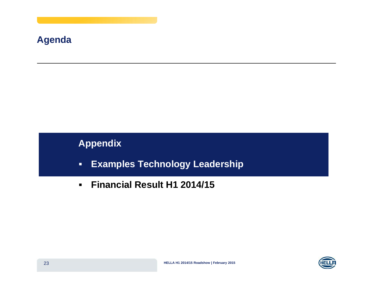### **Agenda**

# **Appendix**

- -**Examples Technology Leadership**
- $\blacksquare$ **Financial Result H1 2014/15**

![](_page_22_Picture_4.jpeg)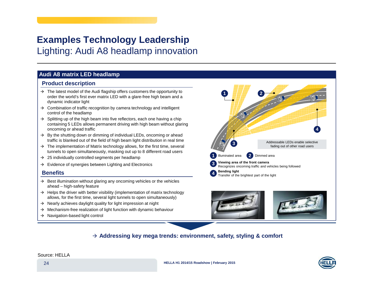### **Examples Technology Leadership** Lighting: Audi A8 headlamp innovation

#### **Audi A8 matrix LED headlamp**

#### **Product description**

- $\rightarrow$  The latest model of the Audi flagship offers customers the opportunity to order the world's first ever matrix LED with <sup>a</sup> glare-free high beam and <sup>a</sup> dynamic indicator light
- $\rightarrow$  Combination of traffic recognition by camera technology and intelligent control of the headlamp
- $\rightarrow$  Splitting up of the high beam into five reflectors, each one having a chip containing 5 LEDs allows permanent driving with high beam without glaring oncoming or ahead traffic
- $\rightarrow$  By the shutting down or dimming of individual LEDs, oncoming or ahead traffic is blanked out of the field of high beam light distribution in real time
- $\rightarrow$  The implementation of Matrix technology allows, for the first time, several tunnels to open simultaneously, masking out up to 8 different road users
- $\rightarrow$  25 individually controlled segments per headlamp
- $\rightarrow$  Evidence of synergies between Lighting and Electronics

#### **Benefits**

- $\rightarrow$  Best illumination without glaring any oncoming vehicles or the vehicles ahead – high-safety feature
- $\rightarrow$  Helps the driver with better visibility (implementation of matrix technology allows, for the first time, several light tunnels to open simultaneously)
- $\rightarrow$  Nearly achieves daylight quality for light impression at night
- $\rightarrow$  Mechanism-free realization of light function with dynamic behaviour
- $\rightarrow$  Navigation-based light control

![](_page_23_Picture_16.jpeg)

#### **Addressing key mega trends: environment, safety, styling & comfort**

Source: HELLA

![](_page_23_Picture_19.jpeg)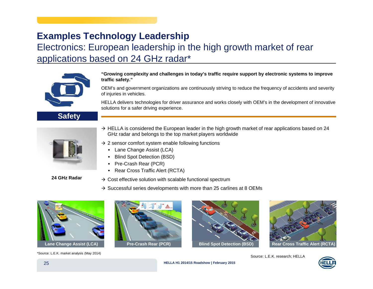# **Examples Technology Leadership**

### Electronics: European leadership in the high growth market of rear applications based on 24 GHz radar\*

![](_page_24_Picture_2.jpeg)

**Safety**

**"Growing complexity and challenges in today's traffic require support by electronic systems to improve traffic safety."**

OEM's and government organizations are continuously striving to reduce the frequency of accidents and severity of injuries in vehicles.

HELLA delivers technologies for driver assurance and works closely with OEM's in the development of innovative solutions for a safer driving experience.

![](_page_24_Picture_6.jpeg)

- $\rightarrow$  HELLA is considered the European leader in the high growth market of rear applications based on 24 GHz radar and belongs to the top market players worldwide
- $\rightarrow$  2 sensor comfort system enable following functions
	- Lane Change Assist (LCA)
	- Blind Spot Detection (BSD)
	- -Pre-Crash Rear (PCR)
	- -Rear Cross Traffic Alert (RCTA)

**24 GHz Radar**

- $\rightarrow$  Cost effective solution with scalable functional spectrum
- $\rightarrow$  Successful series developments with more than 25 carlines at 8 OEMs

![](_page_24_Picture_16.jpeg)

![](_page_24_Picture_17.jpeg)

![](_page_24_Picture_18.jpeg)

![](_page_24_Picture_19.jpeg)

Source: L.E.K. research; HELLA

![](_page_24_Picture_21.jpeg)

**HELLA H1 2014/15 Roadshow | February 2015**

\*Source: L.E.K. market analysis (May 2014)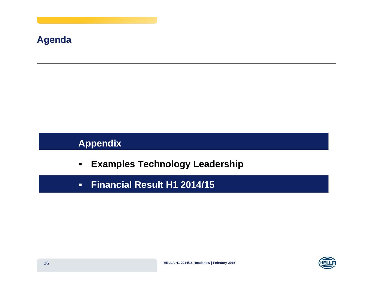## **Agenda**

# **Appendix**

- -**Examples Technology Leadership**
- -**Financial Result H1 2014/15**

![](_page_25_Picture_4.jpeg)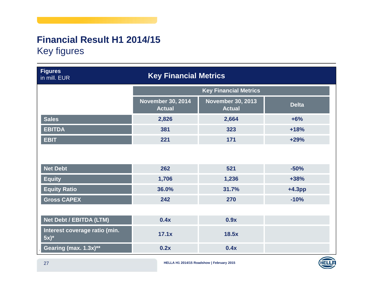# **Financial Result H1 2014/15** Key figures

| <b>Figures</b><br>in mill. EUR           | <b>Key Financial Metrics</b>              |                                           |              |  |  |
|------------------------------------------|-------------------------------------------|-------------------------------------------|--------------|--|--|
|                                          |                                           | <b>Key Financial Metrics</b>              |              |  |  |
|                                          | <b>November 30, 2014</b><br><b>Actual</b> | <b>November 30, 2013</b><br><b>Actual</b> | <b>Delta</b> |  |  |
| <b>Sales</b>                             | 2,826                                     | 2,664                                     | $+6%$        |  |  |
| <b>EBITDA</b>                            | 381                                       | 323                                       | $+18%$       |  |  |
| <b>EBIT</b>                              | 221                                       | 171                                       | $+29%$       |  |  |
|                                          |                                           |                                           |              |  |  |
| <b>Net Debt</b>                          | 262                                       | 521                                       | $-50%$       |  |  |
| <b>Equity</b>                            | 1,706                                     | 1,236                                     | $+38%$       |  |  |
| <b>Equity Ratio</b>                      | 36.0%                                     | 31.7%                                     | $+4.3pp$     |  |  |
| <b>Gross CAPEX</b>                       | 242                                       | 270                                       | $-10%$       |  |  |
|                                          |                                           |                                           |              |  |  |
| Net Debt / EBITDA (LTM)                  | 0.4x                                      | 0.9x                                      |              |  |  |
| Interest coverage ratio (min.<br>$5x)^*$ | 17.1x                                     | 18.5x                                     |              |  |  |
| Gearing (max. 1.3x)**                    | 0.2x                                      | 0.4x                                      |              |  |  |

**HELLA H1 2014/15 Roadshow | February 2015**

![](_page_26_Picture_3.jpeg)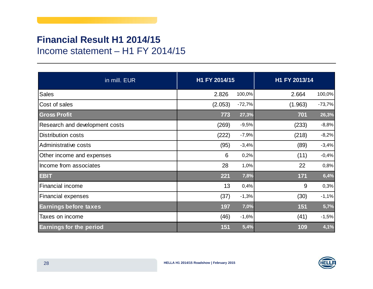## **Financial Result H1 2014/15** Income statement – H1 FY 2014/15

| in mill. EUR                   | H1 FY 2014/15 |          | H1 FY 2013/14 |          |
|--------------------------------|---------------|----------|---------------|----------|
| <b>Sales</b>                   | 2.826         | 100,0%   | 2.664         | 100,0%   |
| Cost of sales                  | (2.053)       | $-72,7%$ | (1.963)       | $-73,7%$ |
| <b>Gross Profit</b>            | 773           | 27,3%    | 701           | 26,3%    |
| Research and development costs | (269)         | $-9,5%$  | (233)         | $-8,8%$  |
| <b>Distribution costs</b>      | (222)         | $-7,9%$  | (218)         | $-8,2%$  |
| Administrative costs           | (95)          | $-3,4%$  | (89)          | $-3,4%$  |
| Other income and expenses      | 6             | 0,2%     | (11)          | $-0,4%$  |
| Income from associates         | 28            | 1,0%     | 22            | 0,8%     |
| <b>EBIT</b>                    | 221           | 7,8%     | 171           | 6,4%     |
| Financial income               | 13            | 0,4%     | 9             | 0,3%     |
| <b>Financial expenses</b>      | (37)          | $-1,3%$  | (30)          | $-1,1%$  |
| <b>Earnings before taxes</b>   | 197           | 7,0%     | 151           | 5,7%     |
| Taxes on income                | (46)          | $-1,6%$  | (41)          | $-1,5%$  |
| <b>Earnings for the period</b> | 151           | 5,4%     | 109           | 4,1%     |

![](_page_27_Picture_2.jpeg)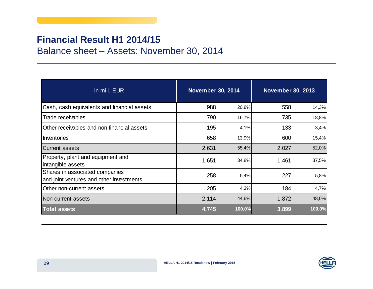### **Financial Result H1 2014/15**

Balance sheet – Assets: November 30, 2014

| in mill. EUR                                                               | <b>November 30, 2014</b> |        | <b>November 30, 2013</b> |        |  |
|----------------------------------------------------------------------------|--------------------------|--------|--------------------------|--------|--|
| Cash, cash equivalents and financial assets                                | 988                      | 20,8%  | 558                      | 14,3%  |  |
| Trade receivables                                                          | 790                      | 16,7%  | 735                      | 18,8%  |  |
| Other receivables and non-financial assets                                 | 195                      | 4,1%   | 133                      | 3,4%   |  |
| Inventories                                                                | 658                      | 13,9%  | 600                      | 15,4%  |  |
| <b>Current assets</b>                                                      | 2.631                    | 55,4%  | 2.027                    | 52,0%  |  |
| Property, plant and equipment and<br>intangible assets                     | 1.651                    | 34,8%  | 1.461                    | 37,5%  |  |
| Shares in associated companies<br>and joint ventures and other investments | 258                      | 5,4%   | 227                      | 5,8%   |  |
| Other non-current assets                                                   | 205                      | 4,3%   | 184                      | 4,7%   |  |
| Non-current assets                                                         | 2.114                    | 44,6%  | 1.872                    | 48,0%  |  |
| <b>Total assets</b>                                                        | 4.745                    | 100,0% | 3.899                    | 100,0% |  |

![](_page_28_Picture_3.jpeg)

 $\mathbf{r}$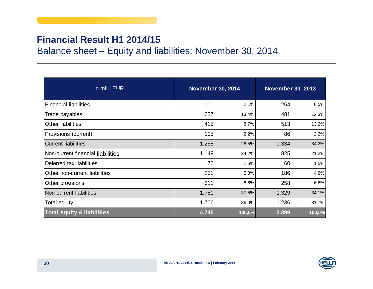### **Financial Result H1 2014/15**

Balance sheet – Equity and liabilities: November 30, 2014

| in mill. EUR                          |       | <b>November 30, 2014</b> |       | <b>November 30, 2013</b> |  |  |
|---------------------------------------|-------|--------------------------|-------|--------------------------|--|--|
| <b>Financial liabilities</b>          | 101   | 2,1%                     | 254   | 6,5%                     |  |  |
| Trade payables                        | 637   | 13,4%                    | 481   | 12,3%                    |  |  |
| Other liabilities                     | 415   | 8,7%                     | 513   | 13,2%                    |  |  |
| Provisions (current)                  | 105   | 2,2%                     | 86    | 2,2%                     |  |  |
| <b>Current liabilities</b>            | 1.258 | 26,5%                    | 1.334 | 34,2%                    |  |  |
| Non-current financial liabilities     | 1.149 | 24,2%                    | 825   | 21,2%                    |  |  |
| Deferred tax liabilities              | 70    | 1,5%                     | 60    | 1,5%                     |  |  |
| Other non-current liabilities         | 251   | 5,3%                     | 186   | 4,8%                     |  |  |
| Other provisions                      | 311   | 6,6%                     | 258   | 6,6%                     |  |  |
| Non-current liabilities               | 1.781 | 37,5%                    | 1.329 | 34,1%                    |  |  |
| Total equity                          | 1.706 | 36,0%                    | 1.236 | 31,7%                    |  |  |
| <b>Total equity &amp; liabilities</b> | 4.745 | 100,0%                   | 3.899 | 100,0%                   |  |  |

![](_page_29_Picture_3.jpeg)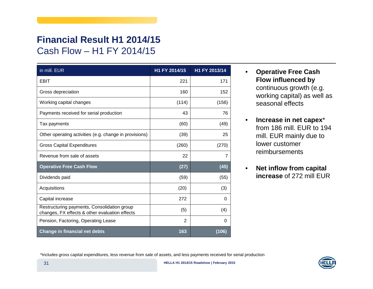# **Financial Result H1 2014/15** Cash Flow – H1 FY 2014/15

| in mill. EUR                                                                                  | H1 FY 2014/15  | H1 FY 2013/14 |
|-----------------------------------------------------------------------------------------------|----------------|---------------|
| EBIT                                                                                          | 221            | 171           |
| Gross depreciation                                                                            | 160            | 152           |
| Working capital changes                                                                       | (114)          | (156)         |
| Payments received for serial production                                                       | 43             | 76            |
| Tax payments                                                                                  | (60)           | (49)          |
| Other operating activities (e.g. change in provisions)                                        | (39)           | 25            |
| <b>Gross Capital Expenditures</b>                                                             | (260)          | (270)         |
| Revenue from sale of assets                                                                   | 22             | 7             |
| <b>Operative Free Cash Flow</b>                                                               | (27)           | (45)          |
| Dividends paid                                                                                | (59)           | (55)          |
| Acquisitions                                                                                  | (20)           | (3)           |
| Capital increase                                                                              | 272            | $\Omega$      |
| Restructuring payments, Consolidation group<br>changes, FX effects & other evaluation effects | (5)            | (4)           |
| Pension, Factoring, Operating Lease                                                           | $\overline{2}$ | 0             |
| <b>Change in financial net debts</b>                                                          | 163            | (106)         |

- $\bullet$  **Operative Free Cash Flow influenced by** continuous growth (e.g. working capital) as well as seasonal effects
- $\bullet$  **Increase in net capex**\* from 186 mill. EUR to 194 mill. EUR mainly due to lower customer reimbursements
- $\bullet$  **Net inflow from capital increase** of 272 mill EUR

\*Includes gross capital expenditures, less revenue from sale of assets, and less payments received for serial production